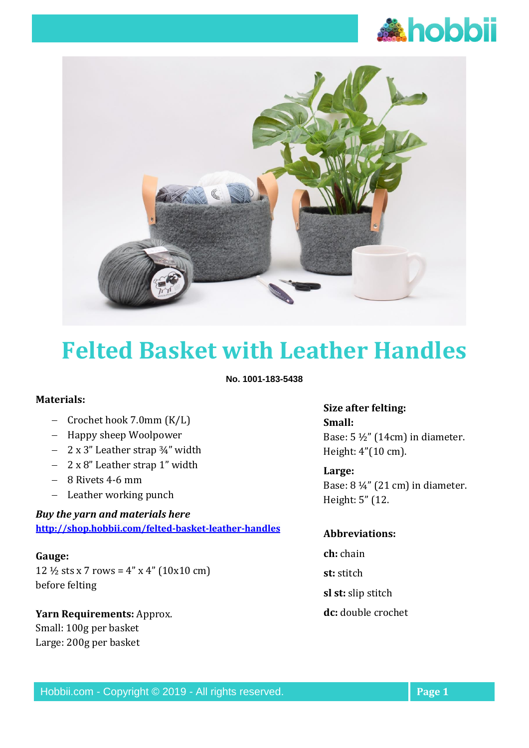



# **Felted Basket with Leather Handles**

**No. 1001-183-5438**

#### **Materials:**

- − Crochet hook 7.0mm (K/L)
- − Happy sheep Woolpower
- − 2 x 3" Leather strap ¾" width
- − 2 x 8" Leather strap 1" width
- − 8 Rivets 4-6 mm
- − Leather working punch

### *Buy the yarn and materials here* **<http://shop.hobbii.com/felted-basket-leather-handles>**

#### **Gauge:**

12  $\frac{1}{2}$  sts x 7 rows = 4" x 4" (10x10 cm) before felting

## **Yarn Requirements:** Approx. Small: 100g per basket Large: 200g per basket

# **Size after felting: Small:** Base:  $5\frac{1}{2}$ " (14cm) in diameter.

Height: 4"(10 cm). **Large:** 

Base: 8 ¼" (21 cm) in diameter. Height: 5" (12.

#### **Abbreviations:**

- **ch:** chain **st:** stitch **sl st:** slip stitch
- **dc:** double crochet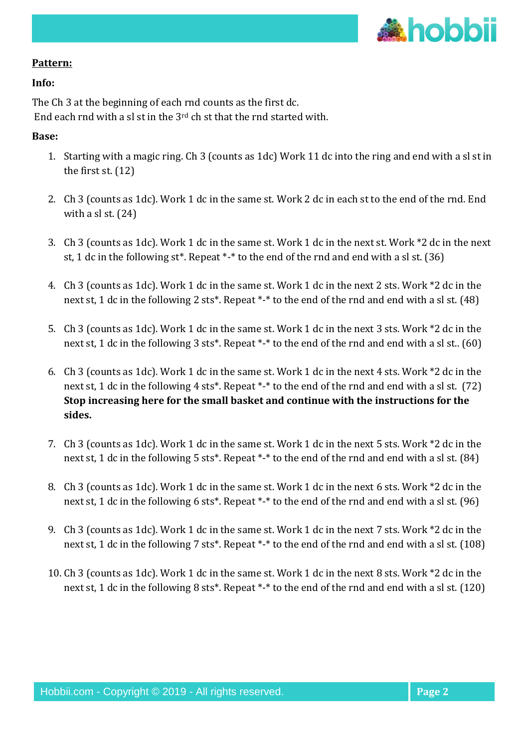

### **Pattern:**

#### **Info:**

The Ch 3 at the beginning of each rnd counts as the first dc. End each rnd with a sl st in the 3rd ch st that the rnd started with.

### **Base:**

- 1. Starting with a magic ring. Ch 3 (counts as 1dc) Work 11 dc into the ring and end with a sl st in the first st. (12)
- 2. Ch 3 (counts as 1dc). Work 1 dc in the same st. Work 2 dc in each st to the end of the rnd. End with a sl st. (24)
- 3. Ch 3 (counts as 1dc). Work 1 dc in the same st. Work 1 dc in the next st. Work \*2 dc in the next st, 1 dc in the following st\*. Repeat \*-\* to the end of the rnd and end with a sl st. (36)
- 4. Ch 3 (counts as 1dc). Work 1 dc in the same st. Work 1 dc in the next 2 sts. Work \*2 dc in the next st, 1 dc in the following 2 sts\*. Repeat \*-\* to the end of the rnd and end with a sl st. (48)
- 5. Ch 3 (counts as 1dc). Work 1 dc in the same st. Work 1 dc in the next 3 sts. Work \*2 dc in the next st, 1 dc in the following 3 sts\*. Repeat \*-\* to the end of the rnd and end with a sl st.. (60)
- 6. Ch 3 (counts as 1dc). Work 1 dc in the same st. Work 1 dc in the next 4 sts. Work \*2 dc in the next st, 1 dc in the following 4 sts<sup>\*</sup>. Repeat <sup>\*</sup>-<sup>\*</sup> to the end of the rnd and end with a sl st. (72) **Stop increasing here for the small basket and continue with the instructions for the sides.**
- 7. Ch 3 (counts as 1dc). Work 1 dc in the same st. Work 1 dc in the next 5 sts. Work \*2 dc in the next st, 1 dc in the following 5 sts\*. Repeat \*-\* to the end of the rnd and end with a sl st. (84)
- 8. Ch 3 (counts as 1dc). Work 1 dc in the same st. Work 1 dc in the next 6 sts. Work \*2 dc in the next st, 1 dc in the following 6 sts\*. Repeat \*-\* to the end of the rnd and end with a sl st. (96)
- 9. Ch 3 (counts as 1dc). Work 1 dc in the same st. Work 1 dc in the next 7 sts. Work \*2 dc in the next st, 1 dc in the following 7 sts<sup>\*</sup>. Repeat <sup>\*</sup>-\* to the end of the rnd and end with a sl st. (108)
- 10. Ch 3 (counts as 1dc). Work 1 dc in the same st. Work 1 dc in the next 8 sts. Work \*2 dc in the next st, 1 dc in the following 8 sts<sup>\*</sup>. Repeat <sup>\*</sup>-\* to the end of the rnd and end with a sl st. (120)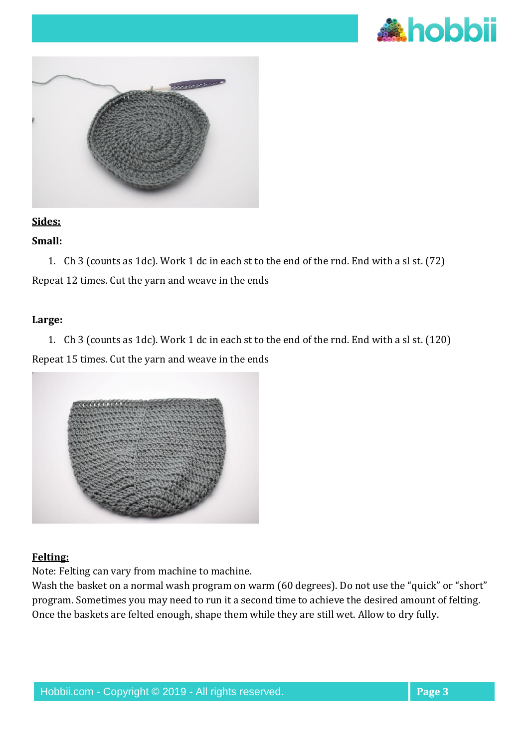



# **Sides:**

# **Small:**

1. Ch 3 (counts as 1dc). Work 1 dc in each st to the end of the rnd. End with a sl st. (72) Repeat 12 times. Cut the yarn and weave in the ends

#### **Large:**

1. Ch 3 (counts as 1dc). Work 1 dc in each st to the end of the rnd. End with a sl st. (120) Repeat 15 times. Cut the yarn and weave in the ends



## **Felting:**

Note: Felting can vary from machine to machine.

Wash the basket on a normal wash program on warm (60 degrees). Do not use the "quick" or "short" program. Sometimes you may need to run it a second time to achieve the desired amount of felting. Once the baskets are felted enough, shape them while they are still wet. Allow to dry fully.